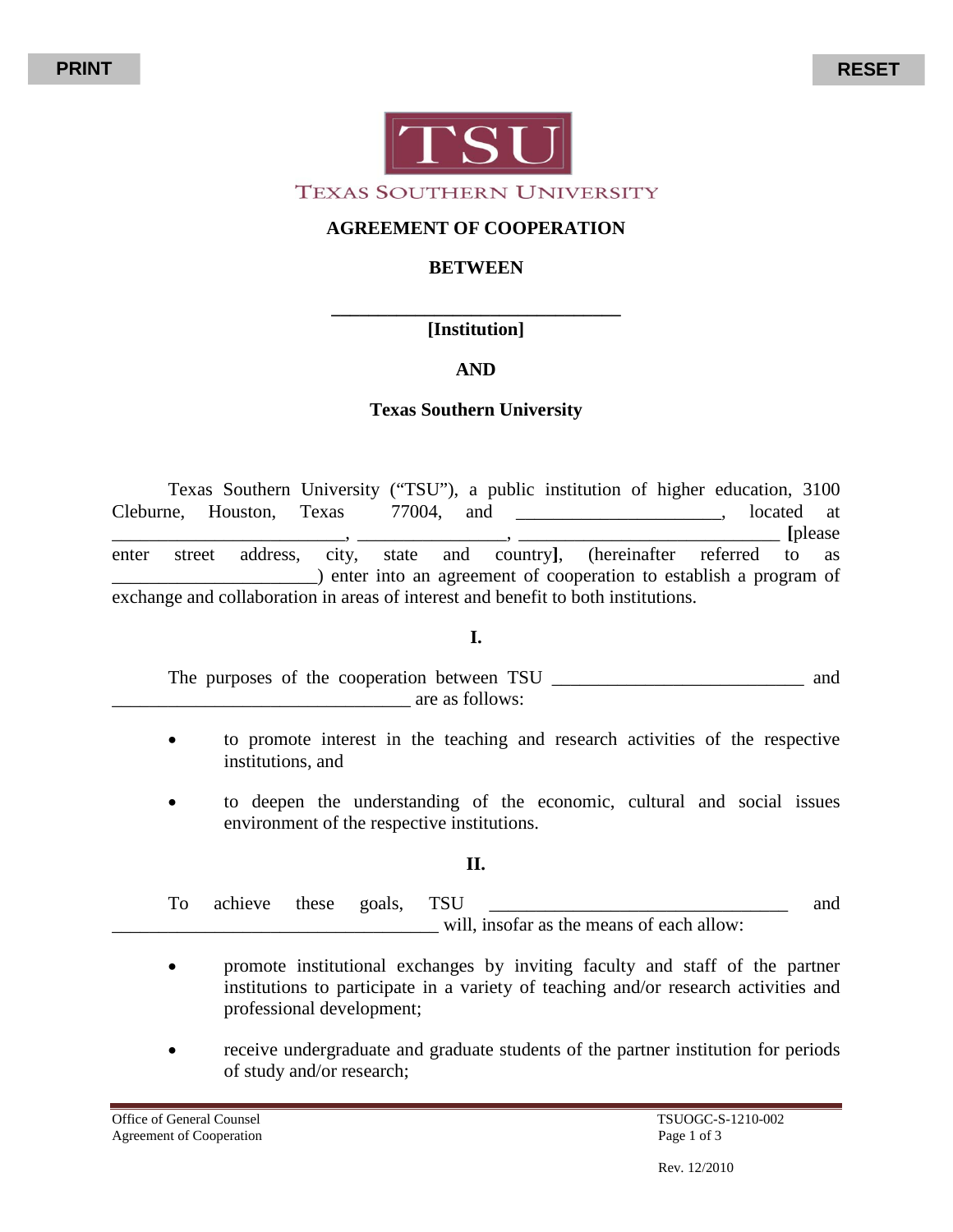

#### **AGREEMENT OF COOPERATION**

#### **BETWEEN**

#### **\_\_\_\_\_\_\_\_\_\_\_\_\_\_\_\_\_\_\_\_\_\_\_\_\_\_\_\_\_\_\_ [Institution]**

# **AND**

### **Texas Southern University**

Texas Southern University ("TSU"), a public institution of higher education, 3100 Cleburne, Houston, Texas 77004, and \_\_\_\_\_\_\_\_\_\_\_\_\_\_\_\_\_\_\_\_\_\_, located at \_\_\_\_\_\_\_\_\_\_\_\_\_\_\_\_\_\_\_\_\_\_\_\_\_, \_\_\_\_\_\_\_\_\_\_\_\_\_\_\_\_, \_\_\_\_\_\_\_\_\_\_\_\_\_\_\_\_\_\_\_\_\_\_\_\_\_\_\_\_ **[**please enter street address, city, state and country**]**, (hereinafter referred to as \_\_\_\_\_\_\_\_\_\_\_\_\_\_\_\_\_\_\_\_\_\_) enter into an agreement of cooperation to establish a program of exchange and collaboration in areas of interest and benefit to both institutions.

#### **I.**

The purposes of the cooperation between TSU \_\_\_\_\_\_\_\_\_\_\_\_\_\_\_\_\_\_\_\_\_\_\_\_\_\_\_ and are as follows:

- to promote interest in the teaching and research activities of the respective institutions, and
- to deepen the understanding of the economic, cultural and social issues environment of the respective institutions.

#### **II.**

To achieve these goals, TSU \_\_\_\_\_\_\_\_\_\_\_\_\_\_\_\_\_\_\_\_\_\_\_\_\_\_\_\_\_\_\_\_\_ and will, insofar as the means of each allow:

- promote institutional exchanges by inviting faculty and staff of the partner institutions to participate in a variety of teaching and/or research activities and professional development;
- receive undergraduate and graduate students of the partner institution for periods of study and/or research;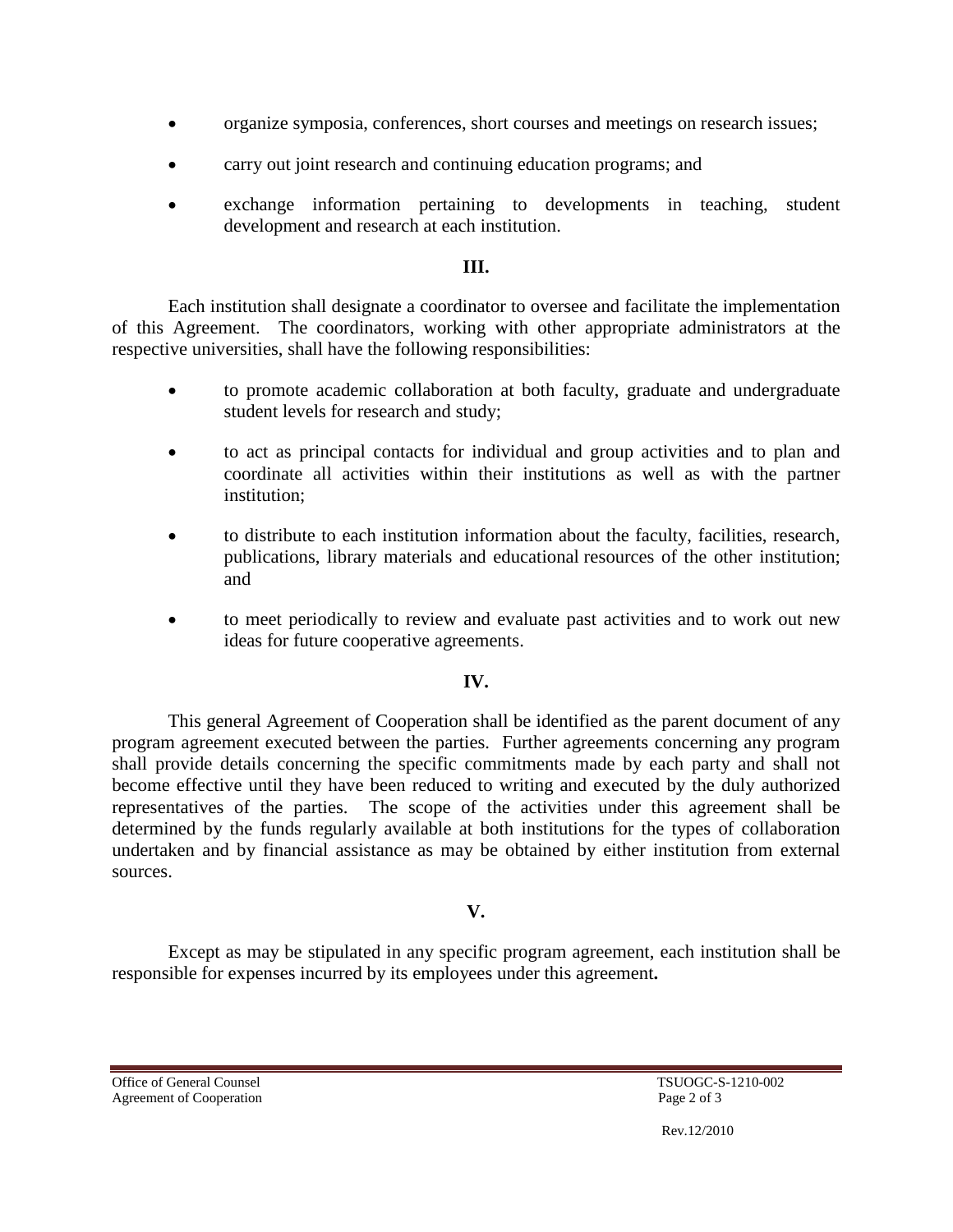- organize symposia, conferences, short courses and meetings on research issues;
- carry out joint research and continuing education programs; and
- exchange information pertaining to developments in teaching, student development and research at each institution.

### **III.**

Each institution shall designate a coordinator to oversee and facilitate the implementation of this Agreement. The coordinators, working with other appropriate administrators at the respective universities, shall have the following responsibilities:

- to promote academic collaboration at both faculty, graduate and undergraduate student levels for research and study;
- to act as principal contacts for individual and group activities and to plan and coordinate all activities within their institutions as well as with the partner institution;
- to distribute to each institution information about the faculty, facilities, research, publications, library materials and educational resources of the other institution; and
- to meet periodically to review and evaluate past activities and to work out new ideas for future cooperative agreements.

# **IV.**

This general Agreement of Cooperation shall be identified as the parent document of any program agreement executed between the parties. Further agreements concerning any program shall provide details concerning the specific commitments made by each party and shall not become effective until they have been reduced to writing and executed by the duly authorized representatives of the parties. The scope of the activities under this agreement shall be determined by the funds regularly available at both institutions for the types of collaboration undertaken and by financial assistance as may be obtained by either institution from external sources.

# **V.**

Except as may be stipulated in any specific program agreement, each institution shall be responsible for expenses incurred by its employees under this agreement**.**

Office of General Counsel<br>
Agreement of Cooperation<br>  $\frac{1}{2}$  Agreement of Cooperation<br>  $\frac{1}{2}$  Agreement of Cooperation Agreement of Cooperation